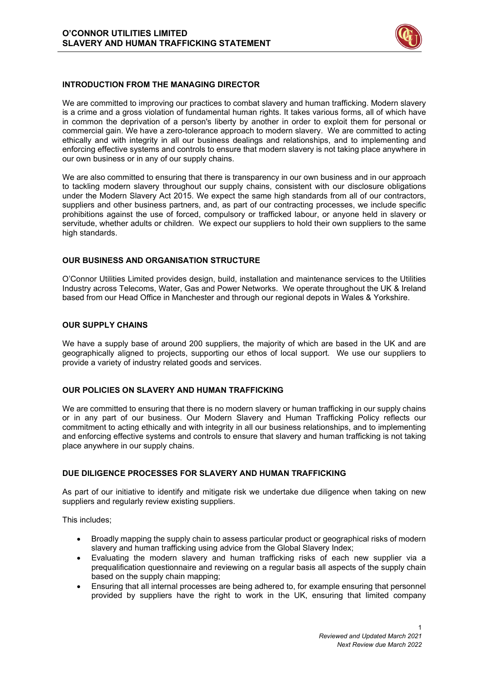

### **INTRODUCTION FROM THE MANAGING DIRECTOR**

We are committed to improving our practices to combat slavery and human trafficking. Modern slavery is a crime and a gross violation of fundamental human rights. It takes various forms, all of which have in common the deprivation of a person's liberty by another in order to exploit them for personal or commercial gain. We have a zero-tolerance approach to modern slavery. We are committed to acting ethically and with integrity in all our business dealings and relationships, and to implementing and enforcing effective systems and controls to ensure that modern slavery is not taking place anywhere in our own business or in any of our supply chains.

We are also committed to ensuring that there is transparency in our own business and in our approach to tackling modern slavery throughout our supply chains, consistent with our disclosure obligations under the Modern Slavery Act 2015. We expect the same high standards from all of our contractors, suppliers and other business partners, and, as part of our contracting processes, we include specific prohibitions against the use of forced, compulsory or trafficked labour, or anyone held in slavery or servitude, whether adults or children. We expect our suppliers to hold their own suppliers to the same high standards.

#### **OUR BUSINESS AND ORGANISATION STRUCTURE**

O'Connor Utilities Limited provides design, build, installation and maintenance services to the Utilities Industry across Telecoms, Water, Gas and Power Networks. We operate throughout the UK & Ireland based from our Head Office in Manchester and through our regional depots in Wales & Yorkshire.

#### **OUR SUPPLY CHAINS**

We have a supply base of around 200 suppliers, the majority of which are based in the UK and are geographically aligned to projects, supporting our ethos of local support. We use our suppliers to provide a variety of industry related goods and services.

#### **OUR POLICIES ON SLAVERY AND HUMAN TRAFFICKING**

We are committed to ensuring that there is no modern slavery or human trafficking in our supply chains or in any part of our business. Our Modern Slavery and Human Trafficking Policy reflects our commitment to acting ethically and with integrity in all our business relationships, and to implementing and enforcing effective systems and controls to ensure that slavery and human trafficking is not taking place anywhere in our supply chains.

### **DUE DILIGENCE PROCESSES FOR SLAVERY AND HUMAN TRAFFICKING**

As part of our initiative to identify and mitigate risk we undertake due diligence when taking on new suppliers and regularly review existing suppliers.

This includes;

- Broadly mapping the supply chain to assess particular product or geographical risks of modern slavery and human trafficking using advice from the Global Slavery Index;
- Evaluating the modern slavery and human trafficking risks of each new supplier via a prequalification questionnaire and reviewing on a regular basis all aspects of the supply chain based on the supply chain mapping;
- Ensuring that all internal processes are being adhered to, for example ensuring that personnel provided by suppliers have the right to work in the UK, ensuring that limited company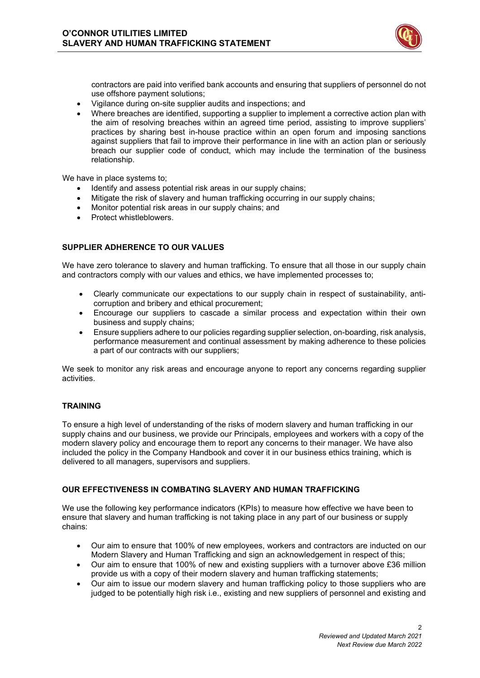

contractors are paid into verified bank accounts and ensuring that suppliers of personnel do not use offshore payment solutions;

- Vigilance during on-site supplier audits and inspections; and
- Where breaches are identified, supporting a supplier to implement a corrective action plan with the aim of resolving breaches within an agreed time period, assisting to improve suppliers' practices by sharing best in-house practice within an open forum and imposing sanctions against suppliers that fail to improve their performance in line with an action plan or seriously breach our supplier code of conduct, which may include the termination of the business relationship.

We have in place systems to;

- Identify and assess potential risk areas in our supply chains;
- Mitigate the risk of slavery and human trafficking occurring in our supply chains;
- Monitor potential risk areas in our supply chains; and
- Protect whistleblowers.

# **SUPPLIER ADHERENCE TO OUR VALUES**

We have zero tolerance to slavery and human trafficking. To ensure that all those in our supply chain and contractors comply with our values and ethics, we have implemented processes to;

- Clearly communicate our expectations to our supply chain in respect of sustainability, anticorruption and bribery and ethical procurement;
- Encourage our suppliers to cascade a similar process and expectation within their own business and supply chains;
- Ensure suppliers adhere to our policies regarding supplier selection, on-boarding, risk analysis, performance measurement and continual assessment by making adherence to these policies a part of our contracts with our suppliers;

We seek to monitor any risk areas and encourage anyone to report any concerns regarding supplier activities.

# **TRAINING**

To ensure a high level of understanding of the risks of modern slavery and human trafficking in our supply chains and our business, we provide our Principals, employees and workers with a copy of the modern slavery policy and encourage them to report any concerns to their manager. We have also included the policy in the Company Handbook and cover it in our business ethics training, which is delivered to all managers, supervisors and suppliers.

#### **OUR EFFECTIVENESS IN COMBATING SLAVERY AND HUMAN TRAFFICKING**

We use the following key performance indicators (KPIs) to measure how effective we have been to ensure that slavery and human trafficking is not taking place in any part of our business or supply chains:

- Our aim to ensure that 100% of new employees, workers and contractors are inducted on our Modern Slavery and Human Trafficking and sign an acknowledgement in respect of this;
- Our aim to ensure that 100% of new and existing suppliers with a turnover above £36 million provide us with a copy of their modern slavery and human trafficking statements;
- Our aim to issue our modern slavery and human trafficking policy to those suppliers who are judged to be potentially high risk i.e., existing and new suppliers of personnel and existing and